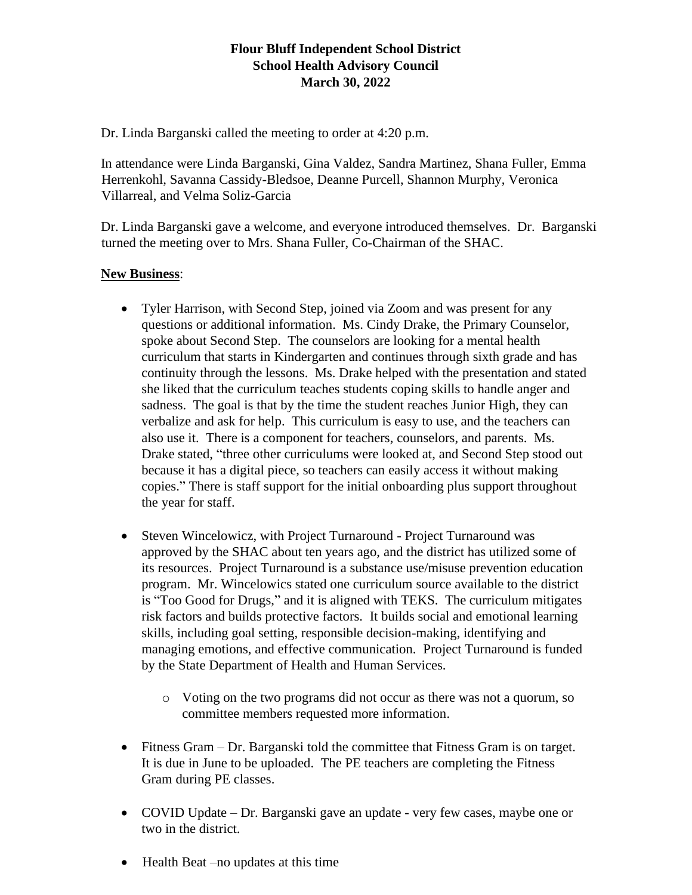# **Flour Bluff Independent School District School Health Advisory Council March 30, 2022**

Dr. Linda Barganski called the meeting to order at 4:20 p.m.

In attendance were Linda Barganski, Gina Valdez, Sandra Martinez, Shana Fuller, Emma Herrenkohl, Savanna Cassidy-Bledsoe, Deanne Purcell, Shannon Murphy, Veronica Villarreal, and Velma Soliz-Garcia

Dr. Linda Barganski gave a welcome, and everyone introduced themselves. Dr. Barganski turned the meeting over to Mrs. Shana Fuller, Co-Chairman of the SHAC.

### **New Business**:

- Tyler Harrison, with Second Step, joined via Zoom and was present for any questions or additional information. Ms. Cindy Drake, the Primary Counselor, spoke about Second Step. The counselors are looking for a mental health curriculum that starts in Kindergarten and continues through sixth grade and has continuity through the lessons. Ms. Drake helped with the presentation and stated she liked that the curriculum teaches students coping skills to handle anger and sadness. The goal is that by the time the student reaches Junior High, they can verbalize and ask for help. This curriculum is easy to use, and the teachers can also use it. There is a component for teachers, counselors, and parents. Ms. Drake stated, "three other curriculums were looked at, and Second Step stood out because it has a digital piece, so teachers can easily access it without making copies." There is staff support for the initial onboarding plus support throughout the year for staff.
- Steven Wincelowicz, with Project Turnaround Project Turnaround was approved by the SHAC about ten years ago, and the district has utilized some of its resources. Project Turnaround is a substance use/misuse prevention education program. Mr. Wincelowics stated one curriculum source available to the district is "Too Good for Drugs," and it is aligned with TEKS. The curriculum mitigates risk factors and builds protective factors. It builds social and emotional learning skills, including goal setting, responsible decision-making, identifying and managing emotions, and effective communication. Project Turnaround is funded by the State Department of Health and Human Services.
	- o Voting on the two programs did not occur as there was not a quorum, so committee members requested more information.
- Fitness Gram Dr. Barganski told the committee that Fitness Gram is on target. It is due in June to be uploaded. The PE teachers are completing the Fitness Gram during PE classes.
- COVID Update Dr. Barganski gave an update very few cases, maybe one or two in the district.
- Health Beat –no updates at this time